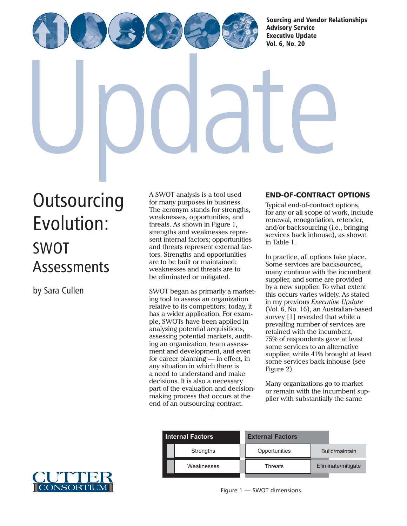[Sourcing and Vendor Relationships](http://www.cutter.com)  Advisory Service

Executive Update Vol. 6, No. 20

# **[Outsourcing](http://www.cutter.com)** Evolution: SWOT **Assessments**

by Sara Cullen

A SWOT analysis is a tool used for many purposes in business. The acronym stands for strengths, weaknesses, opportunities, and threats. As shown in Figure 1, strengths and weaknesses represent internal factors; opportunities and threats represent external factors. Strengths and opportunities are to be built or maintained; weaknesses and threats are to be eliminated or mitigated.

SWOT began as primarily a marketing tool to assess an organization relative to its competitors; today, it has a wider application. For example, SWOTs have been applied in analyzing potential acquisitions, assessing potential markets, auditing an organization, team assessment and development, and even for career planning — in effect, in any situation in which there is a need to understand and make decisions. It is also a necessary part of the evaluation and decisionmaking process that occurs at the end of an outsourcing contract.

# END-OF-CONTRACT OPTIONS

Typical end-of-contract options, for any or all scope of work, include renewal, renegotiation, retender, and/or backsourcing (i.e., bringing services back inhouse), as shown in Table 1.

In practice, all options take place. Some services are backsourced, many continue with the incumbent supplier, and some are provided by a new supplier. To what extent this occurs varies widely. As stated in my previous *Executive Update* (Vol. 6, No. 16), an Australian-based survey [1] revealed that while a prevailing number of services are retained with the incumbent, 75% of respondents gave at least some services to an alternative supplier, while 41% brought at least some services back inhouse (see Figure 2).

Many organizations go to market or remain with the incumbent supplier with substantially the same



| <b>Internal Factors</b> |                  | <b>External Factors</b> |                    |
|-------------------------|------------------|-------------------------|--------------------|
|                         | <b>Strengths</b> | Opportunities           | Build/maintain     |
|                         | Weaknesses       | <b>Threats</b>          | Eliminate/mitigate |
|                         |                  |                         |                    |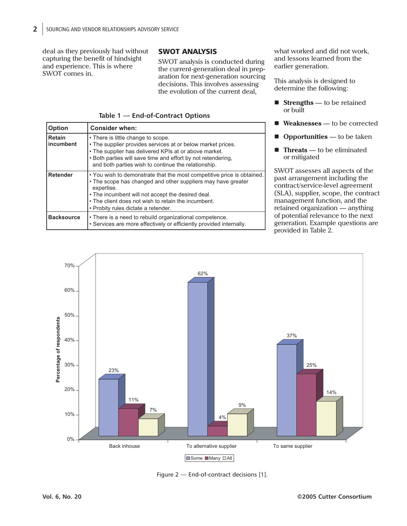deal as they previously had without capturing the benefit of hindsight and experience. This is where SWOT comes in.

## SWOT ANALYSIS

SWOT analysis is conducted during the current-generation deal in preparation for next-generation sourcing decisions. This involves assessing the evolution of the current deal,

|  | Table 1 - End-of-Contract Options |  |
|--|-----------------------------------|--|
|--|-----------------------------------|--|

| <b>Option</b>              | <b>Consider when:</b>                                                                                                                                                                                                                                                                                   |
|----------------------------|---------------------------------------------------------------------------------------------------------------------------------------------------------------------------------------------------------------------------------------------------------------------------------------------------------|
| <b>Retain</b><br>incumbent | • There is little change to scope.<br>• The supplier provides services at or below market prices.<br>• The supplier has delivered KPIs at or above market.<br>. Both parties will save time and effort by not retendering,<br>and both parties wish to continue the relationship.                       |
| Retender                   | • You wish to demonstrate that the most competitive price is obtained.<br>• The scope has changed and other suppliers may have greater<br>expertise.<br>• The incumbent will not accept the desired deal.<br>• The client does not wish to retain the incumbent.<br>• Probity rules dictate a retender. |
| <b>Backsource</b>          | • There is a need to rebuild organizational competence.<br>• Services are more effectively or efficiently provided internally.                                                                                                                                                                          |

what worked and did not work, and lessons learned from the earlier generation.

This analysis is designed to determine the following:

- **Strengths** to be retained or built
- **Weaknesses** to be corrected
- **Opportunities** to be taken
- **Threats** to be eliminated or mitigated

SWOT assesses all aspects of the past arrangement including the contract/service-level agreement (SLA), supplier, scope, the contract management function, and the retained organization — anything of potential relevance to the next generation. Example questions are provided in Table 2.



Figure 2 — End-of-contract decisions [1].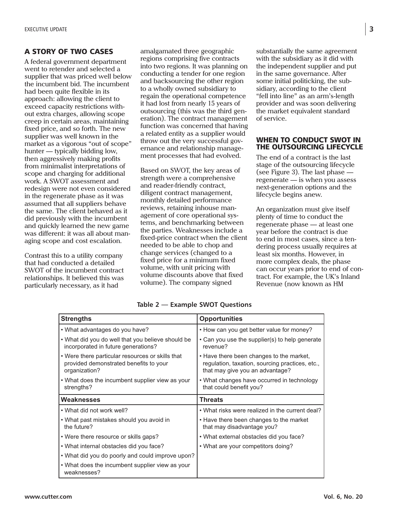### A STORY OF TWO CASES

A federal government department went to retender and selected a supplier that was priced well below the incumbent bid. The incumbent had been quite flexible in its approach: allowing the client to exceed capacity restrictions without extra charges, allowing scope creep in certain areas, maintaining fixed price, and so forth. The new supplier was well known in the market as a vigorous "out of scope" hunter — typically bidding low, then aggressively making profits from minimalist interpretations of scope and charging for additional work. A SWOT assessment and redesign were not even considered in the regenerate phase as it was assumed that all suppliers behave the same. The client behaved as it did previously with the incumbent and quickly learned the new game was different: it was all about managing scope and cost escalation.

Contrast this to a utility company that had conducted a detailed SWOT of the incumbent contract relationships. It believed this was particularly necessary, as it had

amalgamated three geographic regions comprising five contracts into two regions. It was planning on conducting a tender for one region and backsourcing the other region to a wholly owned subsidiary to regain the operational competence it had lost from nearly 15 years of outsourcing (this was the third generation). The contract management function was concerned that having a related entity as a supplier would throw out the very successful governance and relationship management processes that had evolved.

Based on SWOT, the key areas of strength were a comprehensive and reader-friendly contract, diligent contract management, monthly detailed performance reviews, retaining inhouse management of core operational systems, and benchmarking between the parties. Weaknesses include a fixed-price contract when the client needed to be able to chop and change services (changed to a fixed price for a minimum fixed volume, with unit pricing with volume discounts above that fixed volume). The company signed

substantially the same agreement with the subsidiary as it did with the independent supplier and put in the same governance. After some initial politicking, the subsidiary, according to the client "fell into line" as an arm's-length provider and was soon delivering the market equivalent standard of service.

#### WHEN TO CONDUCT SWOT IN THE OUTSOURCING LIFECYCLE

The end of a contract is the last stage of the outsourcing lifecycle (see Figure 3). The last phase regenerate — is when you assess next-generation options and the lifecycle begins anew.

An organization must give itself plenty of time to conduct the regenerate phase — at least one year before the contract is due to end in most cases, since a tendering process usually requires at least six months. However, in more complex deals, the phase can occur years prior to end of contract. For example, the UK's Inland Revenue (now known as HM

| <b>Strengths</b>                                                                                            | <b>Opportunities</b>                                                                                                           |  |
|-------------------------------------------------------------------------------------------------------------|--------------------------------------------------------------------------------------------------------------------------------|--|
| • What advantages do you have?                                                                              | • How can you get better value for money?                                                                                      |  |
| • What did you do well that you believe should be<br>incorporated in future generations?                    | • Can you use the supplier(s) to help generate<br>revenue?                                                                     |  |
| • Were there particular resources or skills that<br>provided demonstrated benefits to your<br>organization? | • Have there been changes to the market,<br>regulation, taxation, sourcing practices, etc.,<br>that may give you an advantage? |  |
| • What does the incumbent supplier view as your<br>strengths?                                               | • What changes have occurred in technology<br>that could benefit you?                                                          |  |
| Weaknesses                                                                                                  | <b>Threats</b>                                                                                                                 |  |
| • What did not work well?                                                                                   | • What risks were realized in the current deal?                                                                                |  |
| • What past mistakes should you avoid in<br>the future?                                                     | • Have there been changes to the market<br>that may disadvantage you?                                                          |  |
| • Were there resource or skills gaps?                                                                       | . What external obstacles did you face?                                                                                        |  |
| • What internal obstacles did you face?                                                                     | • What are your competitors doing?                                                                                             |  |
| • What did you do poorly and could improve upon?                                                            |                                                                                                                                |  |
| • What does the incumbent supplier view as your                                                             |                                                                                                                                |  |

**Table 2 — Example SWOT Questions**